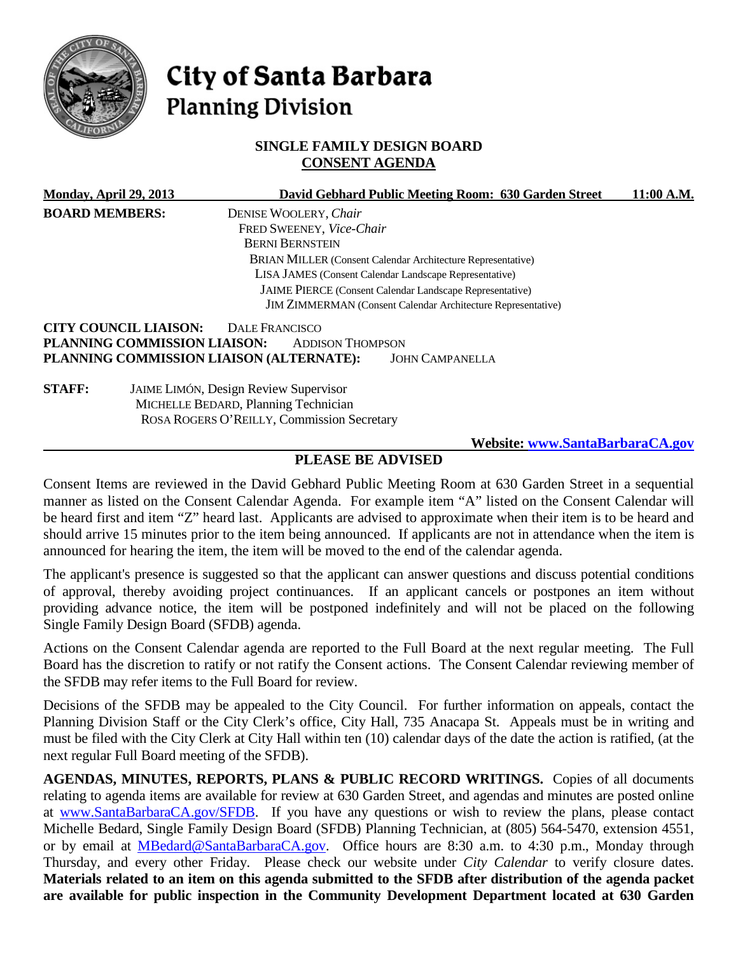

# City of Santa Barbara **Planning Division**

# **SINGLE FAMILY DESIGN BOARD CONSENT AGENDA**

|                       | <b>Monday, April 29, 2013</b>                | David Gebhard Public Meeting Room: 630 Garden Street                | 11:00 A.M. |  |  |
|-----------------------|----------------------------------------------|---------------------------------------------------------------------|------------|--|--|
| <b>BOARD MEMBERS:</b> |                                              | DENISE WOOLERY, Chair                                               |            |  |  |
|                       |                                              | FRED SWEENEY, Vice-Chair                                            |            |  |  |
|                       |                                              | <b>BERNI BERNSTEIN</b>                                              |            |  |  |
|                       |                                              | BRIAN MILLER (Consent Calendar Architecture Representative)         |            |  |  |
|                       |                                              | LISA JAMES (Consent Calendar Landscape Representative)              |            |  |  |
|                       |                                              | <b>JAIME PIERCE</b> (Consent Calendar Landscape Representative)     |            |  |  |
|                       |                                              | <b>JIM ZIMMERMAN</b> (Consent Calendar Architecture Representative) |            |  |  |
|                       | <b>CITY COUNCIL LIAISON:</b>                 | DALE FRANCISCO                                                      |            |  |  |
|                       | PLANNING COMMISSION LIAISON:                 | <b>ADDISON THOMPSON</b>                                             |            |  |  |
|                       |                                              | PLANNING COMMISSION LIAISON (ALTERNATE):<br><b>JOHN CAMPANELLA</b>  |            |  |  |
| <b>STAFF:</b>         | <b>JAIME LIMÓN, Design Review Supervisor</b> |                                                                     |            |  |  |
|                       |                                              | MICHELLE BEDARD, Planning Technician                                |            |  |  |
|                       |                                              | ROSA ROGERS O'REILLY, Commission Secretary                          |            |  |  |
|                       |                                              | <b>Website: www.SantaBarbaraCA.gov</b>                              |            |  |  |

# **PLEASE BE ADVISED**

Consent Items are reviewed in the David Gebhard Public Meeting Room at 630 Garden Street in a sequential manner as listed on the Consent Calendar Agenda. For example item "A" listed on the Consent Calendar will be heard first and item "Z" heard last. Applicants are advised to approximate when their item is to be heard and should arrive 15 minutes prior to the item being announced. If applicants are not in attendance when the item is announced for hearing the item, the item will be moved to the end of the calendar agenda.

The applicant's presence is suggested so that the applicant can answer questions and discuss potential conditions of approval, thereby avoiding project continuances. If an applicant cancels or postpones an item without providing advance notice, the item will be postponed indefinitely and will not be placed on the following Single Family Design Board (SFDB) agenda.

Actions on the Consent Calendar agenda are reported to the Full Board at the next regular meeting. The Full Board has the discretion to ratify or not ratify the Consent actions. The Consent Calendar reviewing member of the SFDB may refer items to the Full Board for review.

Decisions of the SFDB may be appealed to the City Council. For further information on appeals, contact the Planning Division Staff or the City Clerk's office, City Hall, 735 Anacapa St. Appeals must be in writing and must be filed with the City Clerk at City Hall within ten (10) calendar days of the date the action is ratified, (at the next regular Full Board meeting of the SFDB).

**AGENDAS, MINUTES, REPORTS, PLANS & PUBLIC RECORD WRITINGS.** Copies of all documents relating to agenda items are available for review at 630 Garden Street, and agendas and minutes are posted online at [www.SantaBarbaraCA.gov/SFDB.](http://www.santabarbaraca.gov/ABR) If you have any questions or wish to review the plans, please contact Michelle Bedard, Single Family Design Board (SFDB) Planning Technician, at (805) 564-5470, extension 4551, or by email at [MBedard@SantaBarbaraCA.gov.](mailto:MBedard@SantaBarbaraCA.gov) Office hours are 8:30 a.m. to 4:30 p.m., Monday through Thursday, and every other Friday. Please check our website under *City Calendar* to verify closure dates. **Materials related to an item on this agenda submitted to the SFDB after distribution of the agenda packet are available for public inspection in the Community Development Department located at 630 Garden**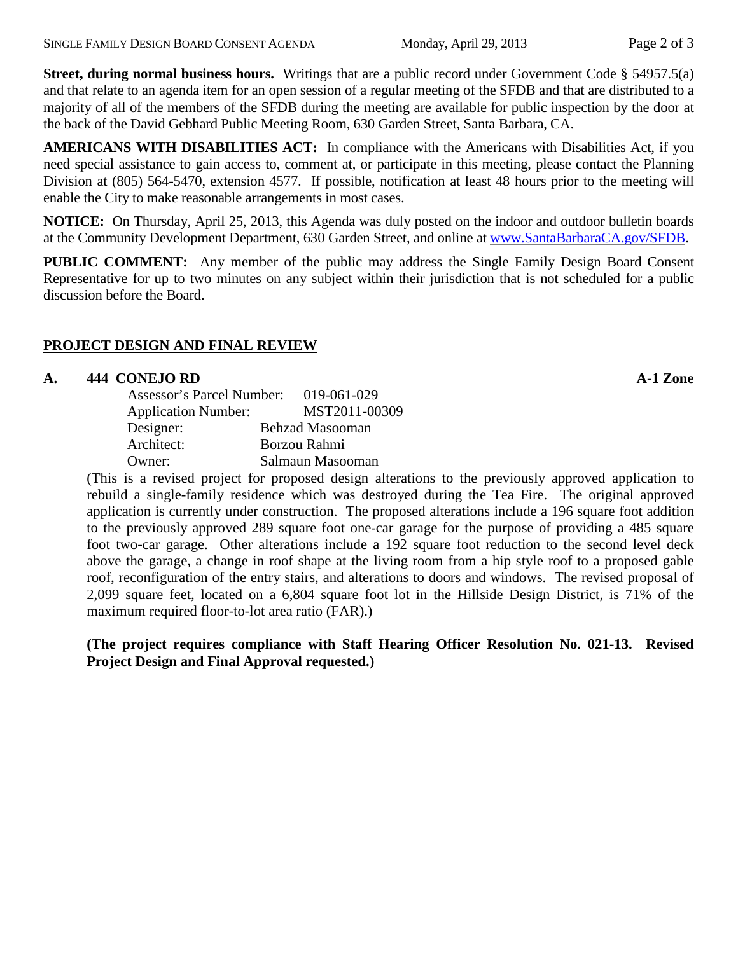**Street, during normal business hours.** Writings that are a public record under Government Code § 54957.5(a) and that relate to an agenda item for an open session of a regular meeting of the SFDB and that are distributed to a majority of all of the members of the SFDB during the meeting are available for public inspection by the door at the back of the David Gebhard Public Meeting Room, 630 Garden Street, Santa Barbara, CA.

**AMERICANS WITH DISABILITIES ACT:** In compliance with the Americans with Disabilities Act, if you need special assistance to gain access to, comment at, or participate in this meeting, please contact the Planning Division at (805) 564-5470, extension 4577. If possible, notification at least 48 hours prior to the meeting will enable the City to make reasonable arrangements in most cases.

**NOTICE:** On Thursday, April 25, 2013, this Agenda was duly posted on the indoor and outdoor bulletin boards at the Community Development Department, 630 Garden Street, and online at [www.SantaBarbaraCA.gov/SFDB.](http://www.santabarbaraca.gov/sfdb)

**PUBLIC COMMENT:** Any member of the public may address the Single Family Design Board Consent Representative for up to two minutes on any subject within their jurisdiction that is not scheduled for a public discussion before the Board.

## **PROJECT DESIGN AND FINAL REVIEW**

## **A. 444 CONEJO RD A-1 Zone**

| Assessor's Parcel Number:  | 019-061-029            |
|----------------------------|------------------------|
| <b>Application Number:</b> | MST2011-00309          |
| Designer:                  | <b>Behzad Masooman</b> |
| Architect:                 | Borzou Rahmi           |
| Owner:                     | Salmaun Masooman       |

(This is a revised project for proposed design alterations to the previously approved application to rebuild a single-family residence which was destroyed during the Tea Fire. The original approved application is currently under construction. The proposed alterations include a 196 square foot addition to the previously approved 289 square foot one-car garage for the purpose of providing a 485 square foot two-car garage. Other alterations include a 192 square foot reduction to the second level deck above the garage, a change in roof shape at the living room from a hip style roof to a proposed gable roof, reconfiguration of the entry stairs, and alterations to doors and windows. The revised proposal of 2,099 square feet, located on a 6,804 square foot lot in the Hillside Design District, is 71% of the maximum required floor-to-lot area ratio (FAR).)

**(The project requires compliance with Staff Hearing Officer Resolution No. 021-13. Revised Project Design and Final Approval requested.)**